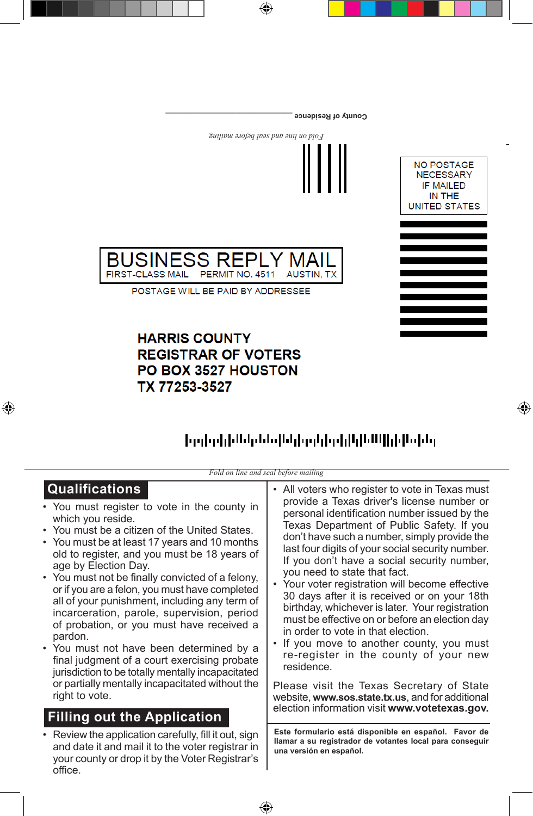

 $\bigoplus$ 

**County of Residence** 

## **HARRIS COUNTY REGISTRAR OF VOTERS** PO BOX 3527 HOUSTON TX 77253-3527

 $\bigoplus$ 



⊕

<u>իրվորիններններիկրդերգիկնենիկ</u>եններ

*Fold on line and seal before mailing*

| <b>Qualifications</b>                                                                                                                                                    | • All voters who register to vote in Texas must                                                                                             |
|--------------------------------------------------------------------------------------------------------------------------------------------------------------------------|---------------------------------------------------------------------------------------------------------------------------------------------|
| • You must register to vote in the county in                                                                                                                             | provide a Texas driver's license number or                                                                                                  |
| which you reside.                                                                                                                                                        | personal identification number issued by the                                                                                                |
| • You must be a citizen of the United States.                                                                                                                            | Texas Department of Public Safety. If you                                                                                                   |
| • You must be at least 17 years and 10 months                                                                                                                            | don't have such a number, simply provide the                                                                                                |
| old to register, and you must be 18 years of                                                                                                                             | last four digits of your social security number.                                                                                            |
| age by Election Day.                                                                                                                                                     | If you don't have a social security number,                                                                                                 |
| • You must not be finally convicted of a felony,                                                                                                                         | you need to state that fact.                                                                                                                |
| or if you are a felon, you must have completed                                                                                                                           | • Your voter registration will become effective                                                                                             |
| all of your punishment, including any term of                                                                                                                            | 30 days after it is received or on your 18th                                                                                                |
| incarceration, parole, supervision, period                                                                                                                               | birthday, whichever is later. Your registration                                                                                             |
| of probation, or you must have received a                                                                                                                                | must be effective on or before an election day                                                                                              |
| pardon.                                                                                                                                                                  | in order to vote in that election.                                                                                                          |
| • You must not have been determined by a                                                                                                                                 | If you move to another county, you must                                                                                                     |
| final judgment of a court exercising probate                                                                                                                             | re-register in the county of your new                                                                                                       |
| jurisdiction to be totally mentally incapacitated                                                                                                                        | residence.                                                                                                                                  |
| or partially mentally incapacitated without the                                                                                                                          | Please visit the Texas Secretary of State                                                                                                   |
| right to vote.                                                                                                                                                           | website, www.sos.state.tx.us, and for additional                                                                                            |
| <b>Filling out the Application</b>                                                                                                                                       | election information visit www.votetexas.gov.                                                                                               |
| • Review the application carefully, fill it out, sign<br>and date it and mail it to the voter registrar in<br>your county or drop it by the Voter Registrar's<br>office. | Este formulario está disponible en español. Favor de<br>llamar a su registrador de votantes local para conseguir<br>una versión en español. |

⊕